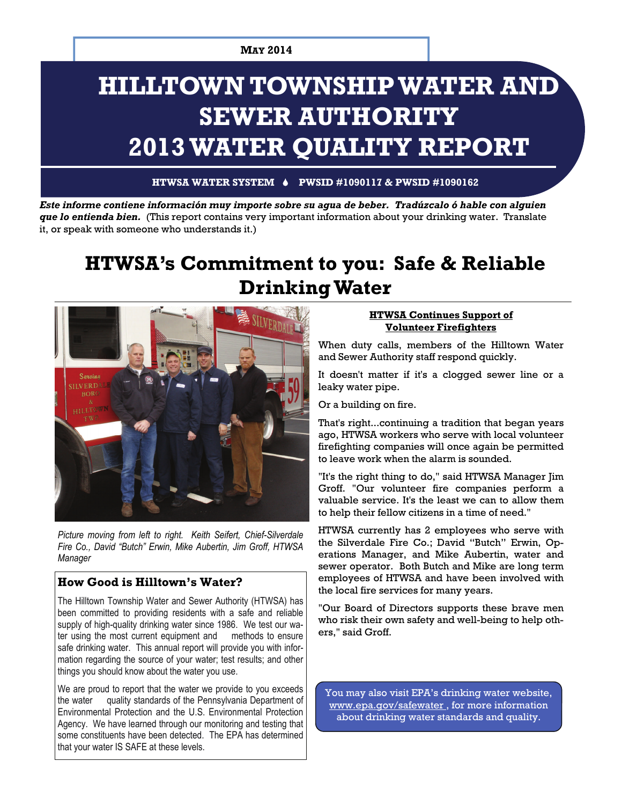# **HILLTOWN TOWNSHIP WATER AND SEWER AUTHORITY 2013 WATER QUALITY REPORT**

**HTWSA WATER SYSTEM PWSID #1090117 & PWSID #1090162** 

*Este informe contiene información muy importe sobre su agua de beber. Tradúzcalo ó hable con alguien que lo entienda bien.* (This report contains very important information about your drinking water. Translate it, or speak with someone who understands it.)

## **HTWSA's Commitment to you: Safe & Reliable Drinking Water**



*Picture moving from left to right. Keith Seifert, Chief-Silverdale Fire Co., David "Butch" Erwin, Mike Aubertin, Jim Groff, HTWSA Manager* 

#### **How Good is Hilltown's Water?**

The Hilltown Township Water and Sewer Authority (HTWSA) has been committed to providing residents with a safe and reliable supply of high-quality drinking water since 1986. We test our water using the most current equipment and methods to ensure safe drinking water. This annual report will provide you with information regarding the source of your water; test results; and other things you should know about the water you use.

We are proud to report that the water we provide to you exceeds the water quality standards of the Pennsylvania Department of Environmental Protection and the U.S. Environmental Protection Agency. We have learned through our monitoring and testing that some constituents have been detected. The EPA has determined that your water IS SAFE at these levels.

#### **HTWSA Continues Support of Volunteer Firefighters**

When duty calls, members of the Hilltown Water and Sewer Authority staff respond quickly.

It doesn't matter if it's a clogged sewer line or a leaky water pipe.

Or a building on fire.

That's right...continuing a tradition that began years ago, HTWSA workers who serve with local volunteer firefighting companies will once again be permitted to leave work when the alarm is sounded.

"It's the right thing to do," said HTWSA Manager Jim Groff. "Our volunteer fire companies perform a valuable service. It's the least we can to allow them to help their fellow citizens in a time of need."

HTWSA currently has 2 employees who serve with the Silverdale Fire Co.; David "Butch" Erwin, Operations Manager, and Mike Aubertin, water and sewer operator. Both Butch and Mike are long term employees of HTWSA and have been involved with the local fire services for many years.

"Our Board of Directors supports these brave men who risk their own safety and well-being to help others," said Groff.

You may also visit EPA's drinking water website, www.epa.gov/safewater , for more information about drinking water standards and quality.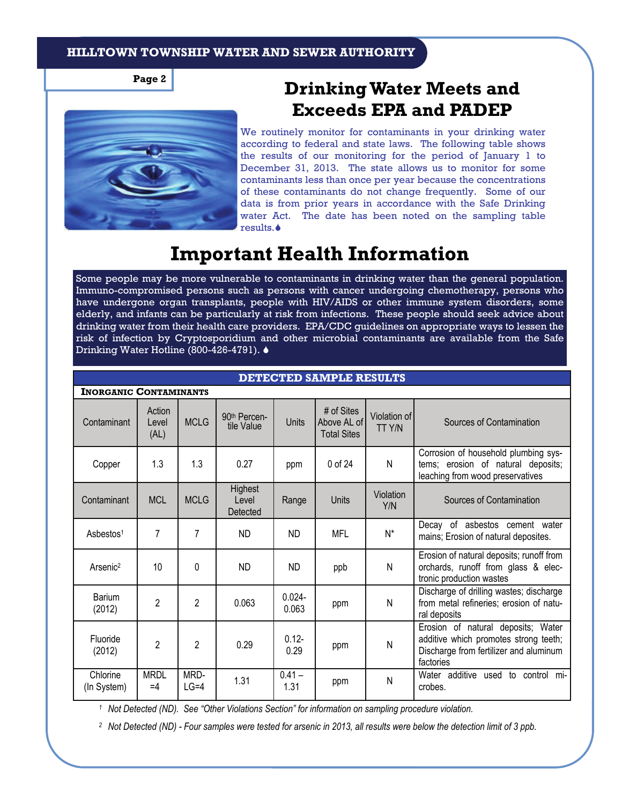**Page 2** 



**Drinking Water Meets and Exceeds EPA and PADEP** 

We routinely monitor for contaminants in your drinking water according to federal and state laws. The following table shows the results of our monitoring for the period of January 1 to December 31, 2013. The state allows us to monitor for some contaminants less than once per year because the concentrations of these contaminants do not change frequently. Some of our data is from prior years in accordance with the Safe Drinking water Act. The date has been noted on the sampling table results.

## **Important Health Information**

Some people may be more vulnerable to contaminants in drinking water than the general population. Immuno-compromised persons such as persons with cancer undergoing chemotherapy, persons who have undergone organ transplants, people with HIV/AIDS or other immune system disorders, some elderly, and infants can be particularly at risk from infections. These people should seek advice about drinking water from their health care providers. EPA/CDC guidelines on appropriate ways to lessen the risk of infection by Cryptosporidium and other microbial contaminants are available from the Safe Drinking Water Hotline (800-426-4791). ♦

**DECEED SAMPLE RESULTS** 

| ретеснер министерство         |                         |                |                                        |                    |                                                 |                        |                                                                                                                                    |  |
|-------------------------------|-------------------------|----------------|----------------------------------------|--------------------|-------------------------------------------------|------------------------|------------------------------------------------------------------------------------------------------------------------------------|--|
| <b>INORGANIC CONTAMINANTS</b> |                         |                |                                        |                    |                                                 |                        |                                                                                                                                    |  |
| Contaminant                   | Action<br>Level<br>(AL) | <b>MCLG</b>    | 90 <sup>th</sup> Percen-<br>tile Value | <b>Units</b>       | # of Sites<br>Above AL of<br><b>Total Sites</b> | Violation of<br>TT Y/N | Sources of Contamination                                                                                                           |  |
| Copper                        | 1.3                     | 1.3            | 0.27                                   | ppm                | $0$ of 24                                       | N                      | Corrosion of household plumbing sys-<br>tems; erosion of natural deposits;<br>leaching from wood preservatives                     |  |
| Contaminant                   | <b>MCL</b>              | <b>MCLG</b>    | Highest<br>Level<br>Detected           | Range              | <b>Units</b>                                    | Violation<br>Y/N       | Sources of Contamination                                                                                                           |  |
| Asbestos <sup>1</sup>         | 7                       | 7              | <b>ND</b>                              | <b>ND</b>          | <b>MFL</b>                                      | $N^*$                  | Decay of asbestos cement water<br>mains; Erosion of natural deposites.                                                             |  |
| Arsenic <sup>2</sup>          | 10                      | 0              | <b>ND</b>                              | <b>ND</b>          | ppb                                             | N                      | Erosion of natural deposits; runoff from<br>orchards, runoff from glass & elec-<br>tronic production wastes                        |  |
| Barium<br>(2012)              | $\overline{2}$          | $\overline{2}$ | 0.063                                  | $0.024 -$<br>0.063 | ppm                                             | N                      | Discharge of drilling wastes; discharge<br>from metal refineries; erosion of natu-<br>ral deposits                                 |  |
| Fluoride<br>(2012)            | 2                       | $\overline{2}$ | 0.29                                   | $0.12 -$<br>0.29   | ppm                                             | N                      | Erosion of natural deposits; Water<br>additive which promotes strong teeth;<br>Discharge from fertilizer and aluminum<br>factories |  |
| Chlorine<br>(In System)       | <b>MRDL</b><br>$=4$     | MRD-<br>$LG=4$ | 1.31                                   | $0.41 -$<br>1.31   | ppm                                             | N                      | Water additive used to control mi-<br>crobes.                                                                                      |  |

*1 Not Detected (ND). See "Other Violations Section" for information on sampling procedure violation.* 

*2 Not Detected (ND) - Four samples were tested for arsenic in 2013, all results were below the detection limit of 3 ppb.*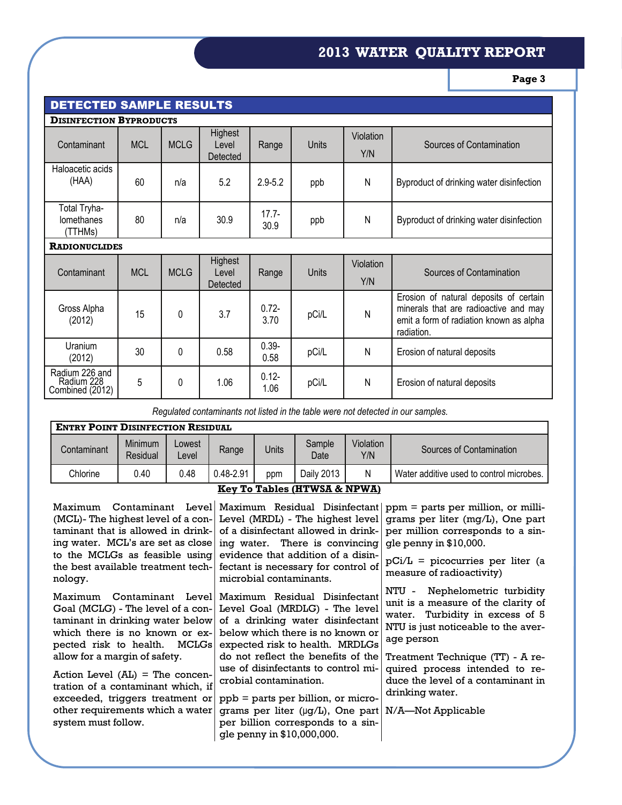### **2013 WATER QUALITY REPORT**

**Page 3** 

| <b>DETECTED SAMPLE RESULTS</b>                  |            |             |                              |                  |       |                  |                                                                                                                                          |  |
|-------------------------------------------------|------------|-------------|------------------------------|------------------|-------|------------------|------------------------------------------------------------------------------------------------------------------------------------------|--|
| <b>DISINFECTION BYPRODUCTS</b>                  |            |             |                              |                  |       |                  |                                                                                                                                          |  |
| Contaminant                                     | <b>MCL</b> | <b>MCLG</b> | Highest<br>Level<br>Detected | Range            | Units | Violation<br>Y/N | Sources of Contamination                                                                                                                 |  |
| Haloacetic acids<br>(HAA)                       | 60         | n/a         | 5.2                          | $2.9 - 5.2$      | ppb   | N                | Byproduct of drinking water disinfection                                                                                                 |  |
| Total Tryha-<br>lomethanes<br>(TTHMs)           | 80         | n/a         | 30.9                         | $17.7 -$<br>30.9 | ppb   | N                | Byproduct of drinking water disinfection                                                                                                 |  |
| <b>RADIONUCLIDES</b>                            |            |             |                              |                  |       |                  |                                                                                                                                          |  |
| Contaminant                                     | <b>MCL</b> | <b>MCLG</b> | Highest<br>Level<br>Detected | Range            | Units | Violation<br>Y/N | Sources of Contamination                                                                                                                 |  |
| Gross Alpha<br>(2012)                           | 15         | 0           | 3.7                          | $0.72 -$<br>3.70 | pCi/L | N                | Erosion of natural deposits of certain<br>minerals that are radioactive and may<br>emit a form of radiation known as alpha<br>radiation. |  |
| Uranium<br>(2012)                               | 30         | 0           | 0.58                         | $0.39 -$<br>0.58 | pCi/L | N                | Erosion of natural deposits                                                                                                              |  |
| Radium 226 and<br>Radium 228<br>Combined (2012) | 5          | 0           | 1.06                         | $0.12 -$<br>1.06 | pCi/L | N                | Erosion of natural deposits                                                                                                              |  |

*Regulated contaminants not listed in the table were not detected in our samples.* 

| <b>ENTRY POINT DISINFECTION RESIDUAL</b> |                     |                 |           |       |                |                  |                                          |  |
|------------------------------------------|---------------------|-----------------|-----------|-------|----------------|------------------|------------------------------------------|--|
| Contaminant                              | Minimum<br>Residual | ∟owest<br>_evel | Range     | Units | Sample<br>Date | Violation<br>Y/N | Sources of Contamination                 |  |
| Chlorine                                 | 0.40                | 0.48            | 0.48-2.91 | ppm   | Daily 2013     | N                | Water additive used to control microbes. |  |
| Key To Tables (HTWCA & NDWA)             |                     |                 |           |       |                |                  |                                          |  |

#### **Key To Tables (HTWSA & NPWA)**

| ing water. MCL's are set as close ing water. There is convincing gle penny in \$10,000.                                                                                                                                                                                                                                                                                                                                                                                                                                                                                             | (MCL)- The highest level of a con- Level (MRDL) - The highest level grams per liter (mg/L), One part<br>taminant that is allowed in drink- of a disinfectant allowed in drink- per million corresponds to a sin-                                                                            |
|-------------------------------------------------------------------------------------------------------------------------------------------------------------------------------------------------------------------------------------------------------------------------------------------------------------------------------------------------------------------------------------------------------------------------------------------------------------------------------------------------------------------------------------------------------------------------------------|---------------------------------------------------------------------------------------------------------------------------------------------------------------------------------------------------------------------------------------------------------------------------------------------|
|                                                                                                                                                                                                                                                                                                                                                                                                                                                                                                                                                                                     |                                                                                                                                                                                                                                                                                             |
|                                                                                                                                                                                                                                                                                                                                                                                                                                                                                                                                                                                     |                                                                                                                                                                                                                                                                                             |
|                                                                                                                                                                                                                                                                                                                                                                                                                                                                                                                                                                                     |                                                                                                                                                                                                                                                                                             |
| to the MCLGs as feasible using evidence that addition of a disin-<br>the best available treatment tech- fectant is necessary for control of<br>microbial contaminants.                                                                                                                                                                                                                                                                                                                                                                                                              | $pCi/L$ = picocurries per liter (a<br>measure of radioactivity)                                                                                                                                                                                                                             |
| Maximum Contaminant Levell Maximum Residual Disinfectant<br>Goal (MCLG) - The level of a con- Level Goal (MRDLG) - The level<br>taminant in drinking water below of a drinking water disinfectant<br>which there is no known or ex- below which there is no known or<br>pected risk to health. MCLGs expected risk to health. MRDLGs<br>do not reflect the benefits of the<br>use of disinfectants to control mi-<br>crobial contamination.<br>ppb = parts per billion, or micro-<br>grams per liter ( $\mu$ g/L), One part N/A—Not Applicable<br>per billion corresponds to a sin- | NTU - Nephelometric turbidity<br>unit is a measure of the clarity of<br>water. Turbidity in excess of 5<br>NTU is just noticeable to the aver-<br>age person<br>Treatment Technique (TT) - A re-<br>quired process intended to re-<br>duce the level of a contaminant in<br>drinking water. |
|                                                                                                                                                                                                                                                                                                                                                                                                                                                                                                                                                                                     | gle penny in \$10,000,000.                                                                                                                                                                                                                                                                  |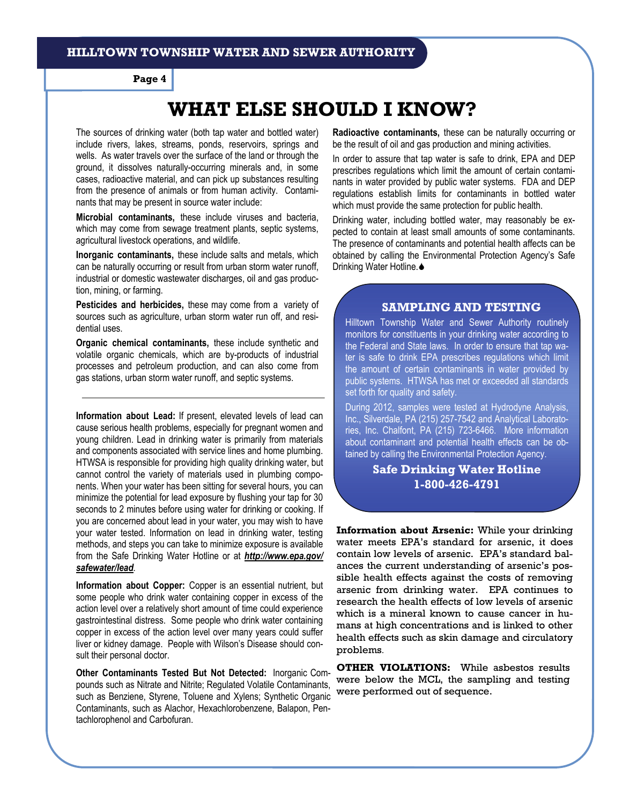**Page 4** 

## **WHAT ELSE SHOULD I KNOW?**

The sources of drinking water (both tap water and bottled water) include rivers, lakes, streams, ponds, reservoirs, springs and wells. As water travels over the surface of the land or through the ground, it dissolves naturally-occurring minerals and, in some cases, radioactive material, and can pick up substances resulting from the presence of animals or from human activity. Contaminants that may be present in source water include:

**Microbial contaminants,** these include viruses and bacteria, which may come from sewage treatment plants, septic systems, agricultural livestock operations, and wildlife.

**Inorganic contaminants,** these include salts and metals, which can be naturally occurring or result from urban storm water runoff, industrial or domestic wastewater discharges, oil and gas production, mining, or farming.

**Pesticides and herbicides,** these may come from a variety of sources such as agriculture, urban storm water run off, and residential uses.

**Organic chemical contaminants,** these include synthetic and volatile organic chemicals, which are by-products of industrial processes and petroleum production, and can also come from gas stations, urban storm water runoff, and septic systems.

**Information about Lead:** If present, elevated levels of lead can cause serious health problems, especially for pregnant women and young children. Lead in drinking water is primarily from materials and components associated with service lines and home plumbing. HTWSA is responsible for providing high quality drinking water, but cannot control the variety of materials used in plumbing components. When your water has been sitting for several hours, you can minimize the potential for lead exposure by flushing your tap for 30 seconds to 2 minutes before using water for drinking or cooking. If you are concerned about lead in your water, you may wish to have your water tested. Information on lead in drinking water, testing methods, and steps you can take to minimize exposure is available from the Safe Drinking Water Hotline or at *http://www.epa.gov/ safewater/lead.* 

**Information about Copper:** Copper is an essential nutrient, but some people who drink water containing copper in excess of the action level over a relatively short amount of time could experience gastrointestinal distress. Some people who drink water containing copper in excess of the action level over many years could suffer liver or kidney damage. People with Wilson's Disease should consult their personal doctor.

**Other Contaminants Tested But Not Detected:** Inorganic Compounds such as Nitrate and Nitrite; Regulated Volatile Contaminants, such as Benziene, Styrene, Toluene and Xylens; Synthetic Organic Contaminants, such as Alachor, Hexachlorobenzene, Balapon, Pentachlorophenol and Carbofuran.

**Radioactive contaminants,** these can be naturally occurring or be the result of oil and gas production and mining activities.

In order to assure that tap water is safe to drink, EPA and DEP prescribes regulations which limit the amount of certain contaminants in water provided by public water systems. FDA and DEP regulations establish limits for contaminants in bottled water which must provide the same protection for public health.

Drinking water, including bottled water, may reasonably be expected to contain at least small amounts of some contaminants. The presence of contaminants and potential health affects can be obtained by calling the Environmental Protection Agency's Safe Drinking Water Hotline. ♦

#### **SAMPLING AND TESTING**

Hilltown Township Water and Sewer Authority routinely monitors for constituents in your drinking water according to the Federal and State laws. In order to ensure that tap water is safe to drink EPA prescribes regulations which limit the amount of certain contaminants in water provided by public systems. HTWSA has met or exceeded all standards set forth for quality and safety.

During 2012, samples were tested at Hydrodyne Analysis, Inc., Silverdale, PA (215) 257-7542 and Analytical Laboratories, Inc. Chalfont, PA (215) 723-6466. More information about contaminant and potential health effects can be obtained by calling the Environmental Protection Agency.

#### **Safe Drinking Water Hotline 1-800-426-4791**

**Information about Arsenic:** While your drinking water meets EPA's standard for arsenic, it does contain low levels of arsenic. EPA's standard balances the current understanding of arsenic's possible health effects against the costs of removing arsenic from drinking water. EPA continues to research the health effects of low levels of arsenic which is a mineral known to cause cancer in humans at high concentrations and is linked to other health effects such as skin damage and circulatory problems.

**OTHER VIOLATIONS:** While asbestos results were below the MCL, the sampling and testing were performed out of sequence.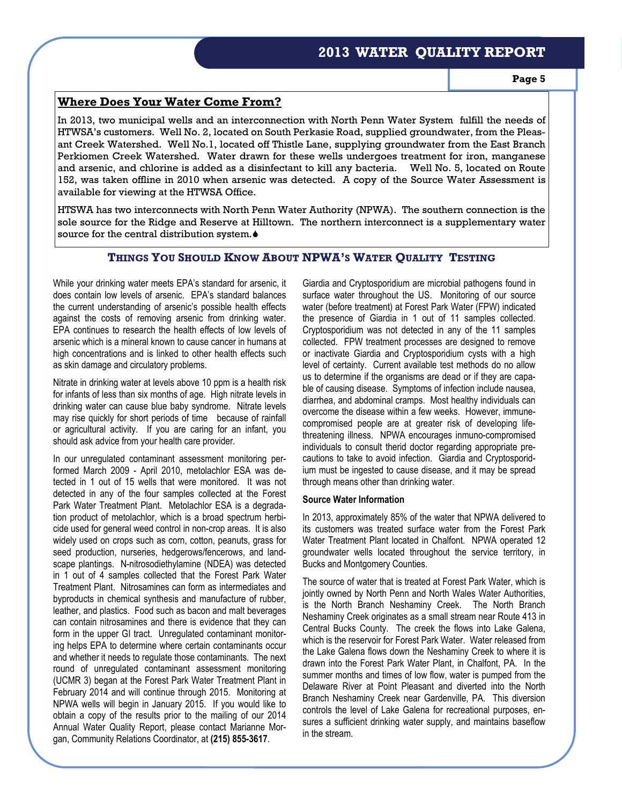#### **2013 WATER QUALITY REPORT**

#### **Where Does Your Water Come From?**

In 2013, two municipal wells and an interconnection with North Penn Water System fulfill the needs of HTWSA's customers. Well No. 2, located on South Perkasie Road, supplied groundwater, from the Pleasant Creek Watershed. Well No.1, located off Thistle Lane, supplying groundwater from the East Branch Perkiomen Creek Watershed. Water drawn for these wells undergoes treatment for iron, manganese and arsenic, and chlorine is added as a disinfectant to kill any bacteria. Well No. 5, located on Route 152, was taken offline in 2010 when arsenic was detected. A copy of the Source Water Assessment is available for viewing at the HTWSA Office.

HTSWA has two interconnects with North Penn Water Authority (NPWA). The southern connection is the sole source for the Ridge and Reserve at Hilltown. The northern interconnect is a supplementary water source for the central distribution system.<sup>4</sup>

#### **THINGS YOU SHOULD KNOW ABOUT NPWA'S WATER QUALITY TESTING**

While your drinking water meets EPA's standard for arsenic, it does contain low levels of arsenic. EPA's standard balances the current understanding of arsenic's possible health effects against the costs of removing arsenic from drinking water. EPA continues to research the health effects of low levels of arsenic which is a mineral known to cause cancer in humans at high concentrations and is linked to other health effects such as skin damage and circulatory problems.

Nitrate in drinking water at levels above 10 ppm is a health risk for infants of less than six months of age. High nitrate levels in drinking water can cause blue baby syndrome. Nitrate levels may rise quickly for short periods of time because of rainfall or agricultural activity. If you are caring for an infant, you should ask advice from your health care provider.

In our unregulated contaminant assessment monitoring performed March 2009 - April 2010, metolachlor ESA was detected in 1 out of 15 wells that were monitored. It was not detected in any of the four samples collected at the Forest Park Water Treatment Plant. Metolachlor ESA is a degradation product of metolachlor, which is a broad spectrum herbicide used for general weed control in non-crop areas. It is also widely used on crops such as corn, cotton, peanuts, grass for seed production, nurseries, hedgerows/fencerows, and landscape plantings. N-nitrosodiethylamine (NDEA) was detected in 1 out of 4 samples collected that the Forest Park Water Treatment Plant. Nitrosamines can form as intermediates and byproducts in chemical synthesis and manufacture of rubber, leather, and plastics. Food such as bacon and malt beverages can contain nitrosamines and there is evidence that they can form in the upper GI tract. Unregulated contaminant monitoring helps EPA to determine where certain contaminants occur and whether it needs to regulate those contaminants. The next round of unregulated contaminant assessment monitoring (UCMR 3) began at the Forest Park Water Treatment Plant in February 2014 and will continue through 2015. Monitoring at NPWA wells will begin in January 2015. If you would like to obtain a copy of the results prior to the mailing of our 2014 Annual Water Quality Report, please contact Marianne Morgan, Community Relations Coordinator, at **(215) 855-3617**.

Giardia and Cryptosporidium are microbial pathogens found in surface water throughout the US. Monitoring of our source water (before treatment) at Forest Park Water (FPW) indicated the presence of Giardia in 1 out of 11 samples collected. Cryptosporidium was not detected in any of the 11 samples collected. FPW treatment processes are designed to remove or inactivate Giardia and Cryptosporidium cysts with a high level of certainty. Current available test methods do no allow us to determine if the organisms are dead or if they are capable of causing disease. Symptoms of infection include nausea, diarrhea, and abdominal cramps. Most healthy individuals can overcome the disease within a few weeks. However, immunecompromised people are at greater risk of developing lifethreatening illness. NPWA encourages inmuno-compromised individuals to consult therid doctor regarding appropriate precautions to take to avoid infection. Giardia and Cryptosporidium must be ingested to cause disease, and it may be spread through means other than drinking water.

#### **Source Water Information**

In 2013, approximately 85% of the water that NPWA delivered to its customers was treated surface water from the Forest Park Water Treatment Plant located in Chalfont. NPWA operated 12 groundwater wells located throughout the service territory, in Bucks and Montgomery Counties.

The source of water that is treated at Forest Park Water, which is jointly owned by North Penn and North Wales Water Authorities, is the North Branch Neshaminy Creek. The North Branch Neshaminy Creek originates as a small stream near Route 413 in Central Bucks County. The creek the flows into Lake Galena, which is the reservoir for Forest Park Water. Water released from the Lake Galena flows down the Neshaminy Creek to where it is drawn into the Forest Park Water Plant, in Chalfont, PA. In the summer months and times of low flow, water is pumped from the Delaware River at Point Pleasant and diverted into the North Branch Neshaminy Creek near Gardenville, PA. This diversion controls the level of Lake Galena for recreational purposes, ensures a sufficient drinking water supply, and maintains baseflow in the stream.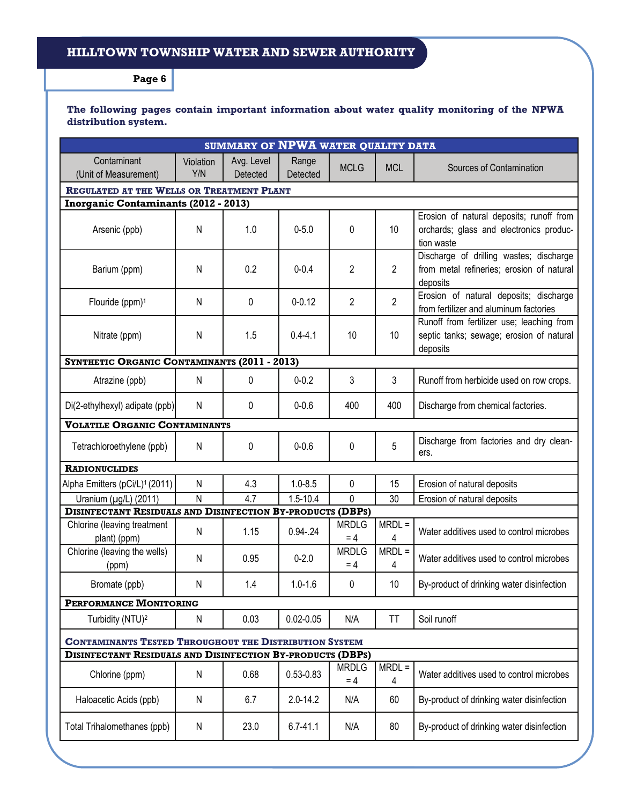#### **HILLTOWN TOWNSHIP WATER AND SEWER AUTHORITY**

**Page 6** 

#### **The following pages contain important information about water quality monitoring of the NPWA distribution system.**

| SUMMARY OF NPWA WATER QUALITY DATA                                |                                                               |                        |                   |                       |                 |                                                                                                   |  |
|-------------------------------------------------------------------|---------------------------------------------------------------|------------------------|-------------------|-----------------------|-----------------|---------------------------------------------------------------------------------------------------|--|
| Contaminant<br>(Unit of Measurement)                              | Violation<br>Y/N                                              | Avg. Level<br>Detected | Range<br>Detected | <b>MCLG</b>           | <b>MCL</b>      | Sources of Contamination                                                                          |  |
|                                                                   | REGULATED AT THE WELLS OR TREATMENT PLANT                     |                        |                   |                       |                 |                                                                                                   |  |
| <b>Inorganic Contaminants (2012 - 2013)</b>                       |                                                               |                        |                   |                       |                 |                                                                                                   |  |
| Arsenic (ppb)                                                     | N                                                             | 1.0                    | $0 - 5.0$         | 0                     | 10              | Erosion of natural deposits; runoff from<br>orchards; glass and electronics produc-<br>tion waste |  |
| Barium (ppm)                                                      | N                                                             | 0.2                    | $0 - 0.4$         | 2                     | $\overline{2}$  | Discharge of drilling wastes; discharge<br>from metal refineries; erosion of natural<br>deposits  |  |
| Flouride (ppm) <sup>1</sup>                                       | N                                                             | $\Omega$               | $0 - 0.12$        | $\overline{2}$        | $\overline{2}$  | Erosion of natural deposits; discharge<br>from fertilizer and aluminum factories                  |  |
| Nitrate (ppm)                                                     | N                                                             | 1.5                    | $0.4 - 4.1$       | 10                    | 10 <sup>°</sup> | Runoff from fertilizer use; leaching from<br>septic tanks; sewage; erosion of natural<br>deposits |  |
| SYNTHETIC ORGANIC CONTAMINANTS (2011 - 2013)                      |                                                               |                        |                   |                       |                 |                                                                                                   |  |
| Atrazine (ppb)                                                    | N                                                             | 0                      | $0 - 0.2$         | 3                     | 3               | Runoff from herbicide used on row crops.                                                          |  |
| Di(2-ethylhexyl) adipate (ppb)                                    | N                                                             | 0                      | $0 - 0.6$         | 400                   | 400             | Discharge from chemical factories.                                                                |  |
| <b>VOLATILE ORGANIC CONTAMINANTS</b>                              |                                                               |                        |                   |                       |                 |                                                                                                   |  |
| Tetrachloroethylene (ppb)                                         | N                                                             | 0                      | $0 - 0.6$         | 0                     | 5               | Discharge from factories and dry clean-<br>ers.                                                   |  |
| <b>RADIONUCLIDES</b>                                              |                                                               |                        |                   |                       |                 |                                                                                                   |  |
| Alpha Emitters (pCi/L) <sup>1</sup> (2011)                        | N                                                             | 4.3                    | $1.0 - 8.5$       | 0                     | 15              | Erosion of natural deposits                                                                       |  |
| Uranium (µg/L) (2011)                                             | $\overline{\mathsf{N}}$                                       | $\overline{4.7}$       | $1.5 - 10.4$      | 0                     | $\overline{30}$ | Erosion of natural deposits                                                                       |  |
| <b>DISINFECTANT RESIDUALS AND DISINFECTION BY-PRODUCTS (DBPS)</b> |                                                               |                        |                   |                       |                 |                                                                                                   |  |
| Chlorine (leaving treatment<br>plant) (ppm)                       | N                                                             | 1.15                   | $0.94 - 24$       | <b>MRDLG</b><br>$= 4$ | $MRDL =$<br>4   | Water additives used to control microbes                                                          |  |
| Chlorine (leaving the wells)<br>(ppm)                             | N                                                             | 0.95                   | $0 - 2.0$         | <b>MRDLG</b><br>$= 4$ | $MRDL =$<br>4   | Water additives used to control microbes                                                          |  |
| Bromate (ppb)                                                     | N                                                             | 1.4                    | $1.0 - 1.6$       | 0                     | 10              | By-product of drinking water disinfection                                                         |  |
| PERFORMANCE MONITORING                                            |                                                               |                        |                   |                       |                 |                                                                                                   |  |
| Turbidity (NTU) <sup>2</sup>                                      | N                                                             | 0.03                   | $0.02 - 0.05$     | N/A                   | TT              | Soil runoff                                                                                       |  |
|                                                                   | <b>CONTAMINANTS TESTED THROUGHOUT THE DISTRIBUTION SYSTEM</b> |                        |                   |                       |                 |                                                                                                   |  |
| <b>DISINFECTANT RESIDUALS AND DISINFECTION BY-PRODUCTS (DBPS)</b> |                                                               |                        |                   |                       |                 |                                                                                                   |  |
| Chlorine (ppm)                                                    | N                                                             | 0.68                   | 0.53-0.83         | <b>MRDLG</b><br>$= 4$ | $MRDL =$<br>4   | Water additives used to control microbes                                                          |  |
| Haloacetic Acids (ppb)                                            | N                                                             | 6.7                    | $2.0 - 14.2$      | N/A                   | 60              | By-product of drinking water disinfection                                                         |  |
| Total Trihalomethanes (ppb)                                       | N                                                             | 23.0                   | $6.7 - 41.1$      | N/A                   | 80              | By-product of drinking water disinfection                                                         |  |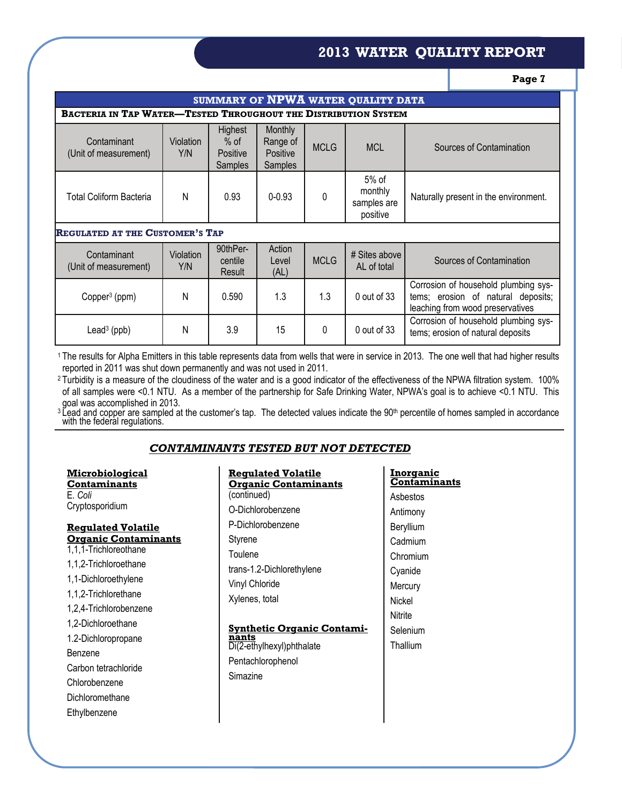#### **2013 WATER QUALITY REPORT**

**Page 7** 

| SUMMARY OF NPWA WATER QUALITY DATA                                     |                                        |                                          |                                                   |             |                                               |                                                                                                                |  |
|------------------------------------------------------------------------|----------------------------------------|------------------------------------------|---------------------------------------------------|-------------|-----------------------------------------------|----------------------------------------------------------------------------------------------------------------|--|
| <b>BACTERIA IN TAP WATER—TESTED THROUGHOUT THE DISTRIBUTION SYSTEM</b> |                                        |                                          |                                                   |             |                                               |                                                                                                                |  |
| Contaminant<br>(Unit of measurement)                                   | Violation<br>Y/N                       | Highest<br>$%$ of<br>Positive<br>Samples | Monthly<br>Range of<br>Positive<br><b>Samples</b> | <b>MCLG</b> | <b>MCL</b>                                    | Sources of Contamination                                                                                       |  |
| <b>Total Coliform Bacteria</b>                                         | Ν                                      | 0.93                                     | $0 - 0.93$                                        | 0           | $5%$ of<br>monthly<br>samples are<br>positive | Naturally present in the environment.                                                                          |  |
|                                                                        | <b>REGULATED AT THE CUSTOMER'S TAP</b> |                                          |                                                   |             |                                               |                                                                                                                |  |
| Contaminant<br>(Unit of measurement)                                   | Violation<br>Y/N                       | 90thPer-<br>centile<br>Result            | Action<br>Level<br>(AL)                           | <b>MCLG</b> | # Sites above<br>AL of total                  | Sources of Contamination                                                                                       |  |
| Copper <sup>3</sup> (ppm)                                              | N                                      | 0.590                                    | 1.3                                               | 1.3         | 0 out of 33                                   | Corrosion of household plumbing sys-<br>tems; erosion of natural deposits;<br>leaching from wood preservatives |  |
| Lead <sup>3</sup> (ppb)                                                | Ν                                      | 3.9                                      | 15                                                | 0           | $0$ out of 33                                 | Corrosion of household plumbing sys-<br>tems; erosion of natural deposits                                      |  |

1 The results for Alpha Emitters in this table represents data from wells that were in service in 2013. The one well that had higher results reported in 2011 was shut down permanently and was not used in 2011.

<sup>2</sup> Turbidity is a measure of the cloudiness of the water and is a good indicator of the effectiveness of the NPWA filtration system. 100% of all samples were <0.1 NTU. As a member of the partnership for Safe Drinking Water, NPWA's goal is to achieve <0.1 NTU. This goal was accomplished in 2013.

<sup>3</sup> Lead and copper are sampled at the customer's tap. The detected values indicate the 90<sup>th</sup> percentile of homes sampled in accordance<br>with the federal regulations.

#### *CONTAMINANTS TESTED BUT NOT DETECTED*

| <u>Microbiological</u>      | <b>Requlated Volatile</b>            |  |  |
|-----------------------------|--------------------------------------|--|--|
| Contaminants                | <u> Organic Contamina</u>            |  |  |
| E. Coli                     | (continued)                          |  |  |
| Cryptosporidium             | O-Dichlorobenzene                    |  |  |
| <u> Requlated Volatile</u>  | P-Dichlorobenzene                    |  |  |
| <b>Organic Contaminants</b> | Styrene                              |  |  |
| 1,1,1-Trichloreothane       | Toulene<br>trans-1.2-Dichlorethylene |  |  |
| 1,1,2-Trichloroethane       |                                      |  |  |
| 1,1-Dichloroethylene        | Vinyl Chloride                       |  |  |
| 1,1,2-Trichlorethane        | Xylenes, total                       |  |  |
| 1,2,4-Trichlorobenzene      |                                      |  |  |
| 1,2-Dichloroethane          | <u><b>Synthetic Organic (</b></u>    |  |  |
| 1.2-Dichloropropane         | nants                                |  |  |
| Benzene                     | Di(2-ethylhexyl)phthalate            |  |  |
| Carbon tetrachloride        | Pentachlorophenol                    |  |  |
| Chlorobenzene               | Simazine                             |  |  |
| Dichloromethane             |                                      |  |  |
|                             |                                      |  |  |
| Ethylbenzene                |                                      |  |  |

| <u> Requlated Volatile</u>         | Inorganic           |
|------------------------------------|---------------------|
| <u> Organic Contaminants</u>       | <u>Contaminants</u> |
| (continued)                        | Asbestos            |
| O-Dichlorobenzene                  | Antimony            |
| P-Dichlorobenzene                  | Beryllium           |
| Styrene                            | Cadmium             |
| Toulene                            | Chromium            |
| trans-1.2-Dichlorethylene          | Cyanide             |
| Vinyl Chloride                     | Mercury             |
| Xylenes, total                     | Nickel              |
|                                    | <b>Nitrite</b>      |
| <u> Synthetic Organic Contami-</u> | Selenium            |
| nants<br>Di(2-ethylhexyl)phthalate | Thallium            |
| Pentachlorophenol                  |                     |
| Simazine                           |                     |
|                                    |                     |
|                                    |                     |